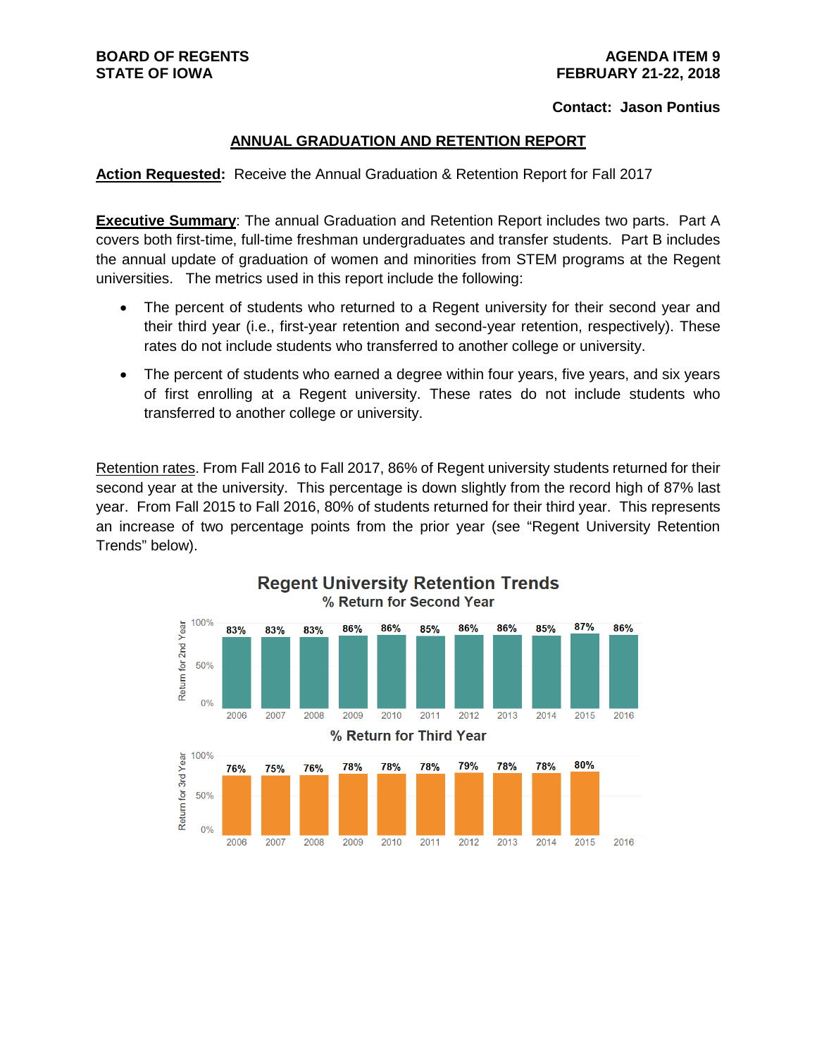# **Contact: Jason Pontius**

## **ANNUAL GRADUATION AND RETENTION REPORT**

**Action Requested:** Receive the Annual Graduation & Retention Report for Fall 2017

**Executive Summary:** The annual Graduation and Retention Report includes two parts. Part A covers both first-time, full-time freshman undergraduates and transfer students. Part B includes the annual update of graduation of women and minorities from STEM programs at the Regent universities. The metrics used in this report include the following:

- The percent of students who returned to a Regent university for their second year and their third year (i.e., first-year retention and second-year retention, respectively). These rates do not include students who transferred to another college or university.
- The percent of students who earned a degree within four years, five years, and six years of first enrolling at a Regent university. These rates do not include students who transferred to another college or university.

Retention rates. From Fall 2016 to Fall 2017, 86% of Regent university students returned for their second year at the university. This percentage is down slightly from the record high of 87% last year. From Fall 2015 to Fall 2016, 80% of students returned for their third year. This represents an increase of two percentage points from the prior year (see "Regent University Retention Trends" below).



# **Regent University Retention Trends** % Return for Second Year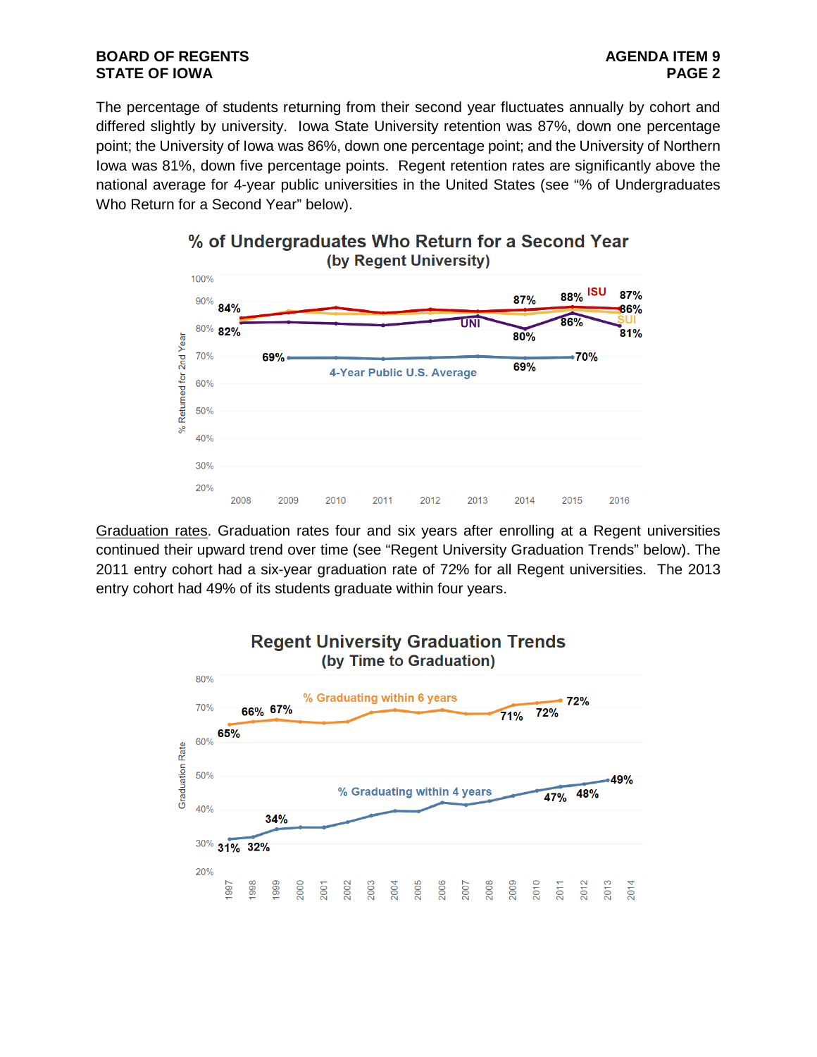The percentage of students returning from their second year fluctuates annually by cohort and differed slightly by university. Iowa State University retention was 87%, down one percentage point; the University of Iowa was 86%, down one percentage point; and the University of Northern Iowa was 81%, down five percentage points. Regent retention rates are significantly above the national average for 4-year public universities in the United States (see "% of Undergraduates Who Return for a Second Year" below).



# % of Undergraduates Who Return for a Second Year (by Regent University)

Graduation rates. Graduation rates four and six years after enrolling at a Regent universities continued their upward trend over time (see "Regent University Graduation Trends" below). The 2011 entry cohort had a six-year graduation rate of 72% for all Regent universities. The 2013 entry cohort had 49% of its students graduate within four years.

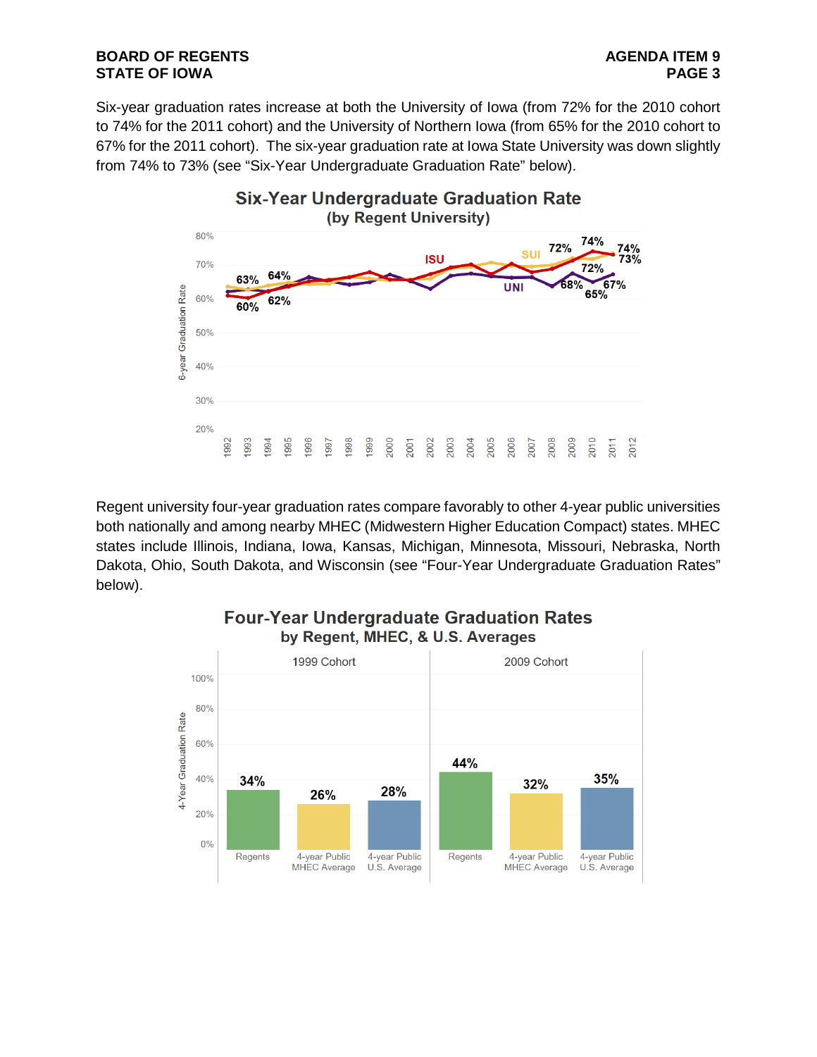# **BOARD OF REGENTS**<br> **BOARD OF REGENTS**<br> **BOARD OF IOWA STATE OF IOWA**

Six-year graduation rates increase at both the University of Iowa (from 72% for the 2010 cohort to 74% for the 2011 cohort) and the University of Northern Iowa (from 65% for the 2010 cohort to 67% for the 2011 cohort). The six-year graduation rate at Iowa State University was down slightly from 74% to 73% (see "Six-Year Undergraduate Graduation Rate" below).



Regent university four-year graduation rates compare favorably to other 4-year public universities both nationally and among nearby MHEC (Midwestern Higher Education Compact) states. MHEC states include Illinois, Indiana, Iowa, Kansas, Michigan, Minnesota, Missouri, Nebraska, North Dakota, Ohio, South Dakota, and Wisconsin (see "Four-Year Undergraduate Graduation Rates" below).



# **Four-Year Undergraduate Graduation Rates** by Regent, MHEC, & U.S. Averages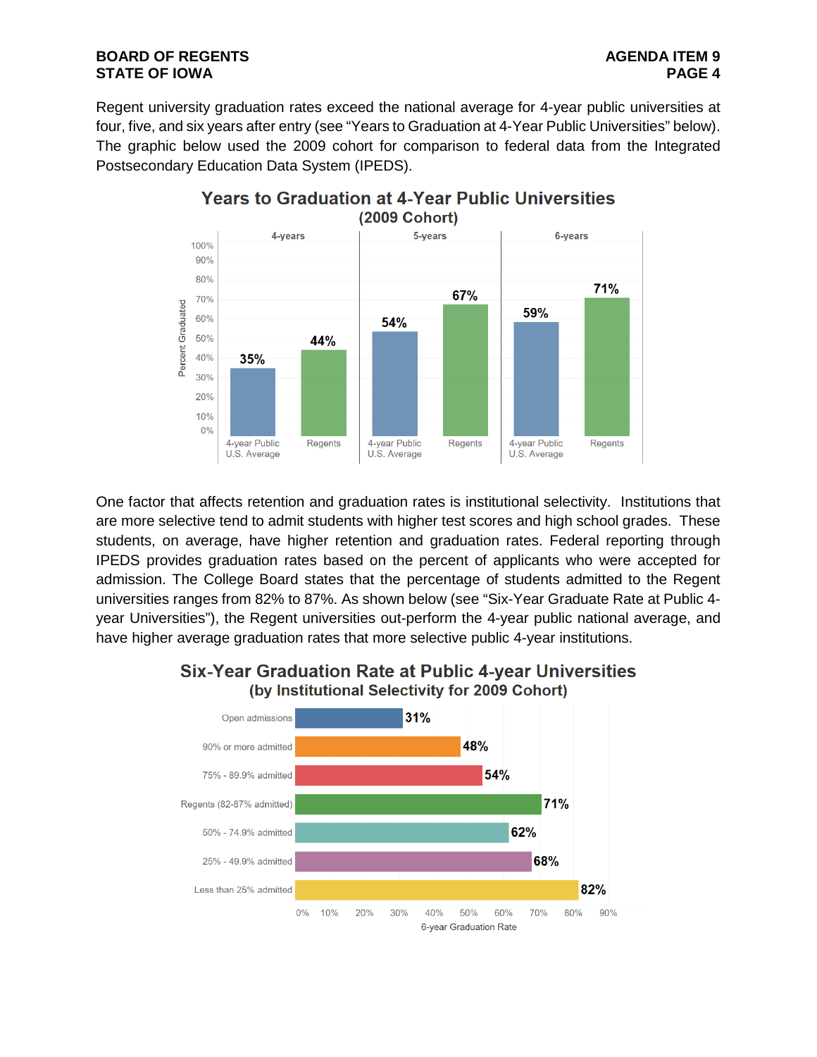Regent university graduation rates exceed the national average for 4-year public universities at four, five, and six years after entry (see "Years to Graduation at 4-Year Public Universities" below). The graphic below used the 2009 cohort for comparison to federal data from the Integrated Postsecondary Education Data System (IPEDS).



One factor that affects retention and graduation rates is institutional selectivity. Institutions that are more selective tend to admit students with higher test scores and high school grades. These students, on average, have higher retention and graduation rates. Federal reporting through IPEDS provides graduation rates based on the percent of applicants who were accepted for admission. The College Board states that the percentage of students admitted to the Regent universities ranges from 82% to 87%. As shown below (see "Six-Year Graduate Rate at Public 4 year Universities"), the Regent universities out-perform the 4-year public national average, and have higher average graduation rates that more selective public 4-year institutions.



# **Six-Year Graduation Rate at Public 4-year Universities** (by Institutional Selectivity for 2009 Cohort)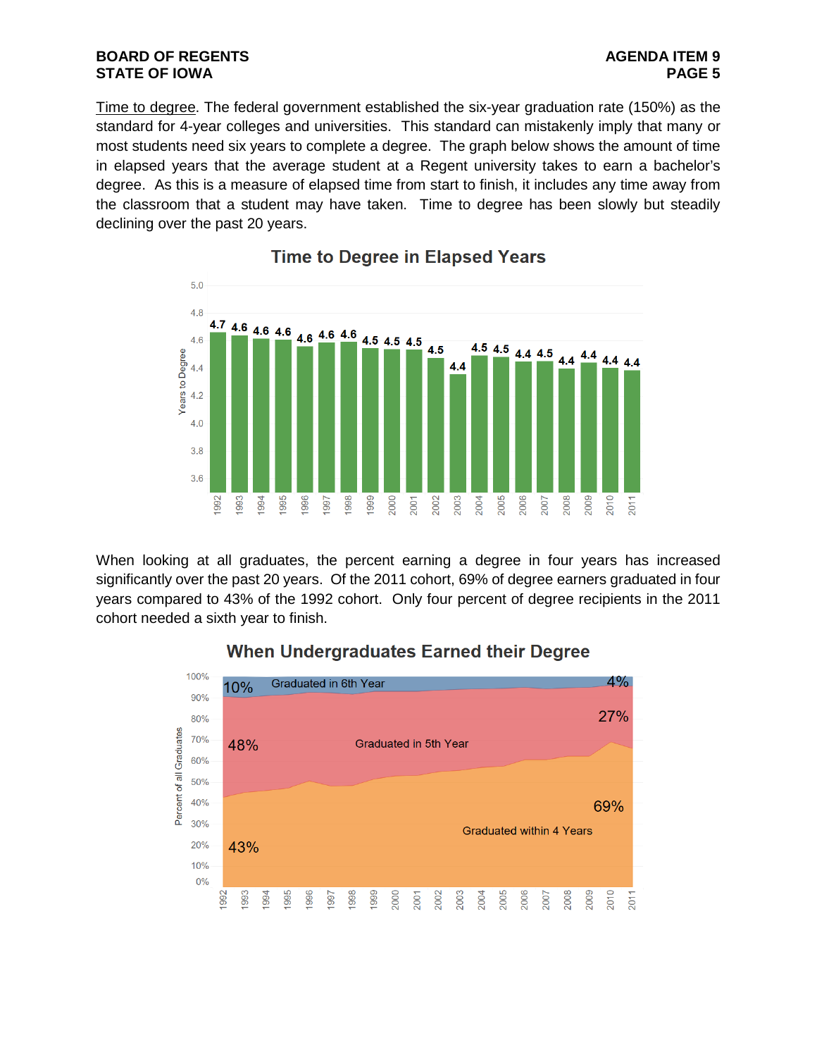Time to degree. The federal government established the six-year graduation rate (150%) as the standard for 4-year colleges and universities. This standard can mistakenly imply that many or most students need six years to complete a degree. The graph below shows the amount of time in elapsed years that the average student at a Regent university takes to earn a bachelor's degree. As this is a measure of elapsed time from start to finish, it includes any time away from the classroom that a student may have taken. Time to degree has been slowly but steadily declining over the past 20 years.



# **Time to Degree in Elapsed Years**

When looking at all graduates, the percent earning a degree in four years has increased significantly over the past 20 years. Of the 2011 cohort, 69% of degree earners graduated in four years compared to 43% of the 1992 cohort. Only four percent of degree recipients in the 2011 cohort needed a sixth year to finish.



# **When Undergraduates Earned their Degree**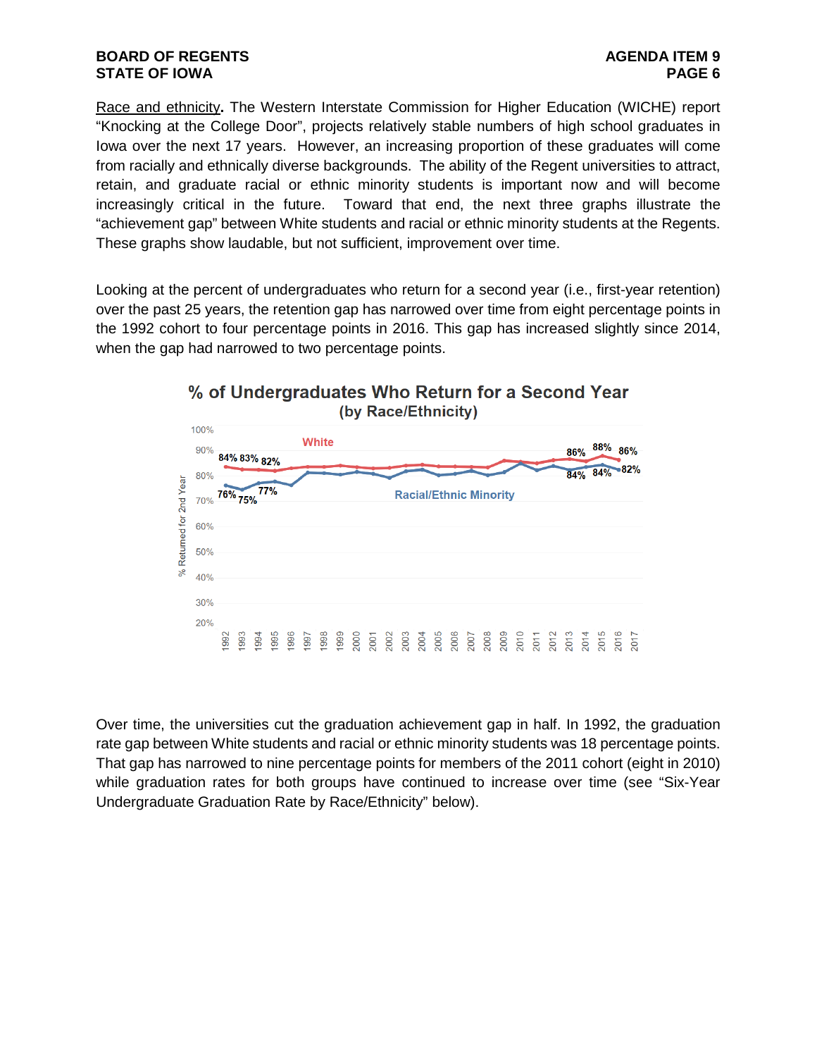Race and ethnicity**.** The Western Interstate Commission for Higher Education (WICHE) report "Knocking at the College Door", projects relatively stable numbers of high school graduates in Iowa over the next 17 years. However, an increasing proportion of these graduates will come from racially and ethnically diverse backgrounds. The ability of the Regent universities to attract, retain, and graduate racial or ethnic minority students is important now and will become increasingly critical in the future. Toward that end, the next three graphs illustrate the "achievement gap" between White students and racial or ethnic minority students at the Regents. These graphs show laudable, but not sufficient, improvement over time.

Looking at the percent of undergraduates who return for a second year (i.e., first-year retention) over the past 25 years, the retention gap has narrowed over time from eight percentage points in the 1992 cohort to four percentage points in 2016. This gap has increased slightly since 2014, when the gap had narrowed to two percentage points.



Over time, the universities cut the graduation achievement gap in half. In 1992, the graduation rate gap between White students and racial or ethnic minority students was 18 percentage points. That gap has narrowed to nine percentage points for members of the 2011 cohort (eight in 2010) while graduation rates for both groups have continued to increase over time (see "Six-Year Undergraduate Graduation Rate by Race/Ethnicity" below).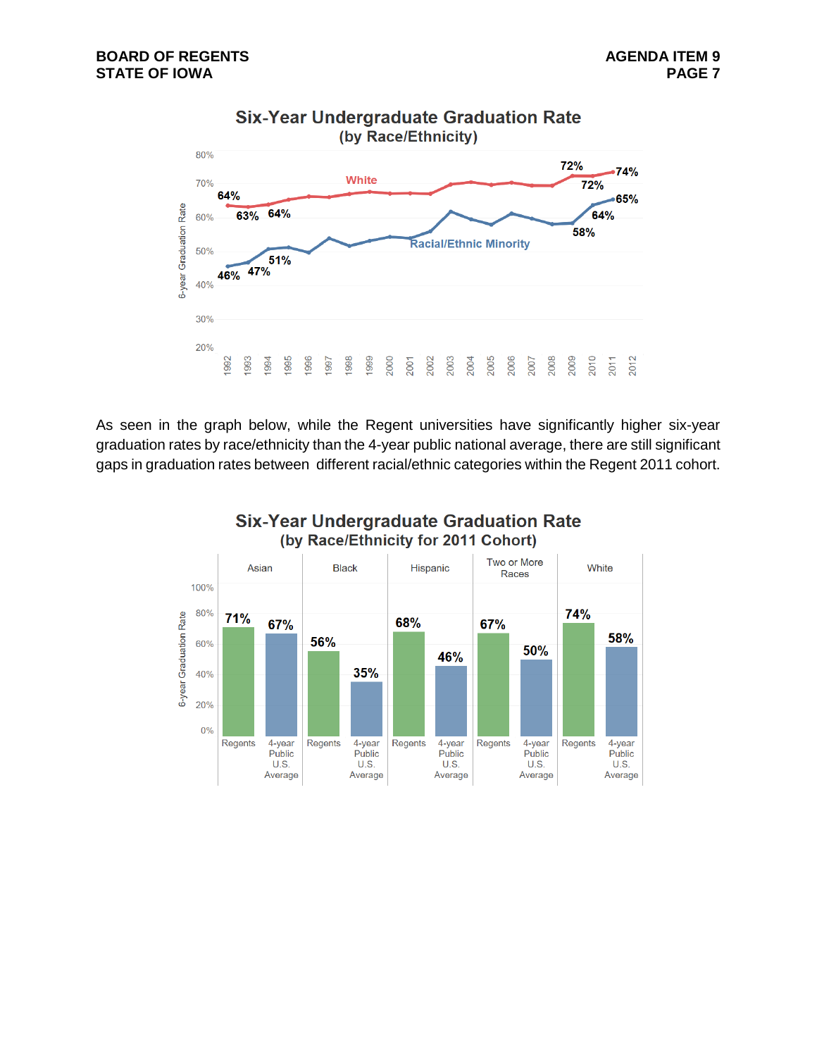

As seen in the graph below, while the Regent universities have significantly higher six-year graduation rates by race/ethnicity than the 4-year public national average, there are still significant gaps in graduation rates between different racial/ethnic categories within the Regent 2011 cohort.



# **Six-Year Undergraduate Graduation Rate**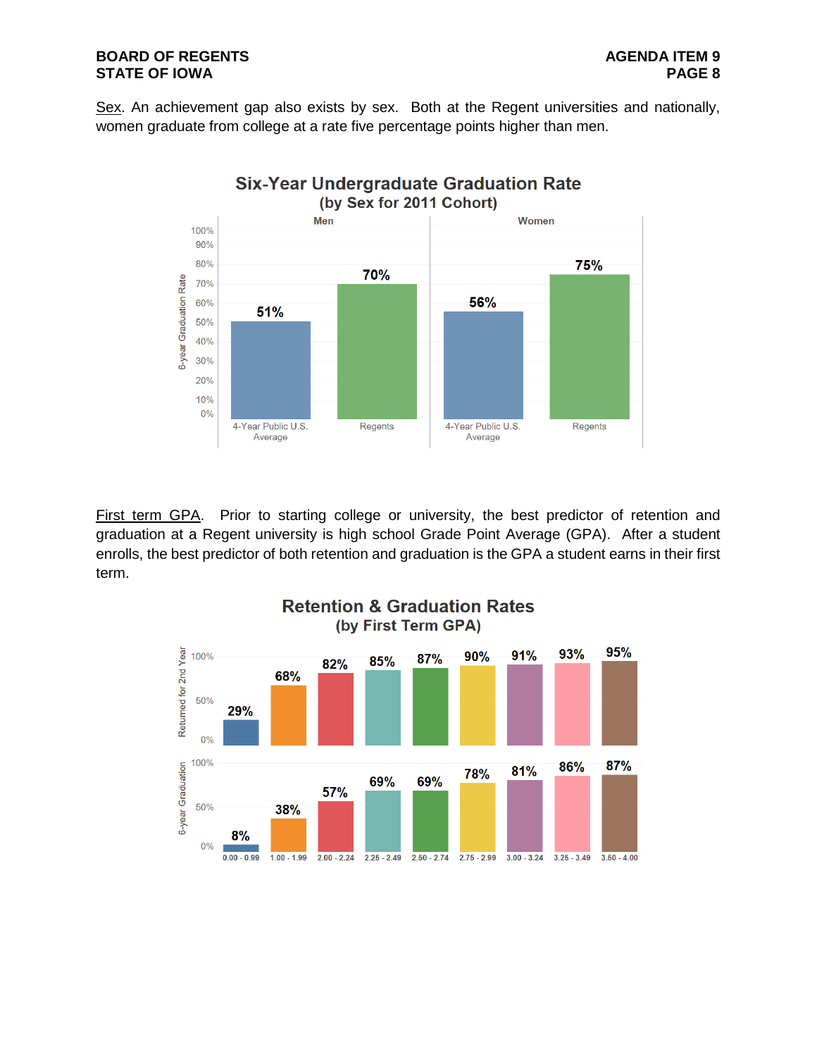Sex. An achievement gap also exists by sex. Both at the Regent universities and nationally, women graduate from college at a rate five percentage points higher than men.



First term GPA. Prior to starting college or university, the best predictor of retention and graduation at a Regent university is high school Grade Point Average (GPA). After a student enrolls, the best predictor of both retention and graduation is the GPA a student earns in their first term.

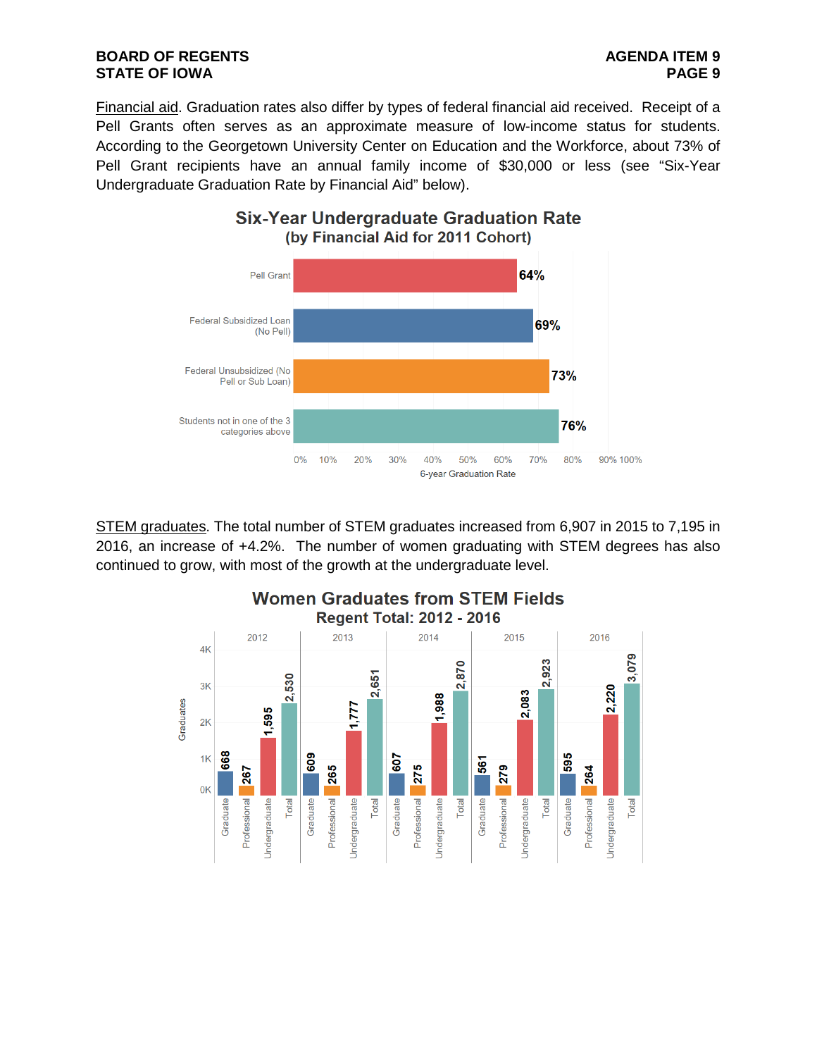Financial aid. Graduation rates also differ by types of federal financial aid received. Receipt of a Pell Grants often serves as an approximate measure of low-income status for students. According to the Georgetown University Center on Education and the Workforce, about 73% of Pell Grant recipients have an annual family income of \$30,000 or less (see "Six-Year Undergraduate Graduation Rate by Financial Aid" below).

**Six-Year Undergraduate Graduation Rate** 



STEM graduates. The total number of STEM graduates increased from 6,907 in 2015 to 7,195 in 2016, an increase of +4.2%. The number of women graduating with STEM degrees has also continued to grow, with most of the growth at the undergraduate level.

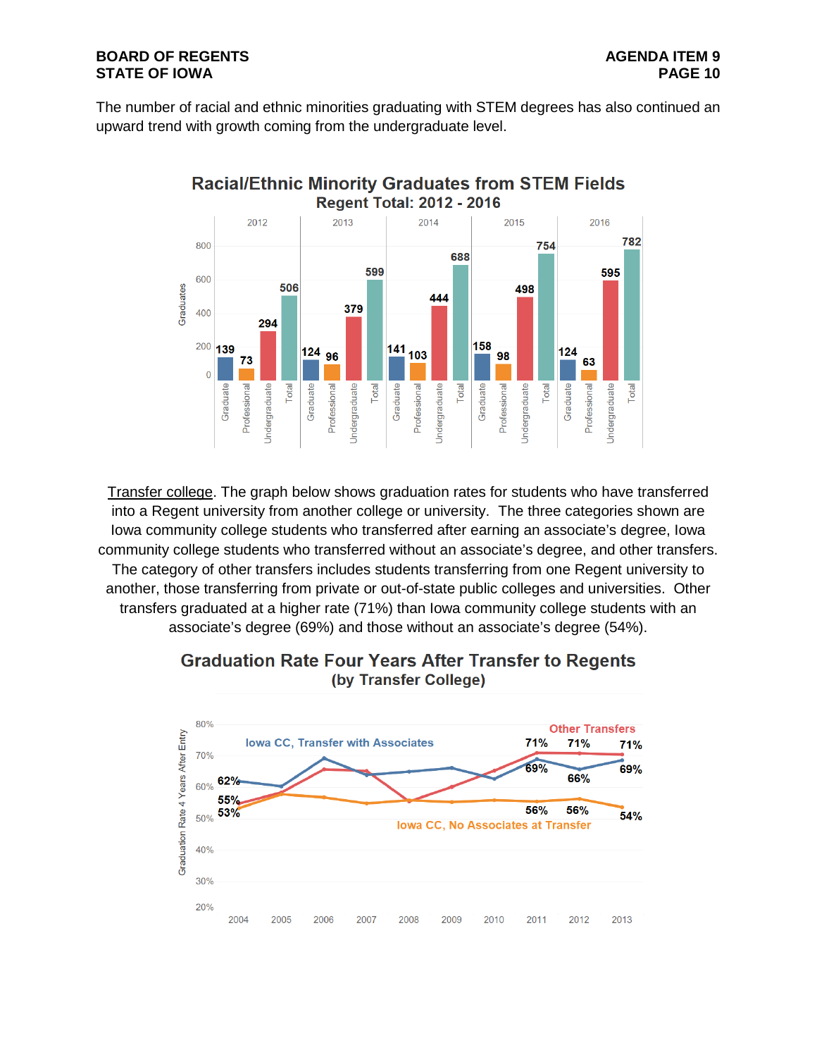# **BOARD OF REGENTS**<br>STATE OF IOWA **PAGE 10 STATE OF IOWA**

The number of racial and ethnic minorities graduating with STEM degrees has also continued an upward trend with growth coming from the undergraduate level.





Transfer college. The graph below shows graduation rates for students who have transferred into a Regent university from another college or university. The three categories shown are Iowa community college students who transferred after earning an associate's degree, Iowa community college students who transferred without an associate's degree, and other transfers. The category of other transfers includes students transferring from one Regent university to another, those transferring from private or out-of-state public colleges and universities. Other transfers graduated at a higher rate (71%) than Iowa community college students with an associate's degree (69%) and those without an associate's degree (54%).



# **Graduation Rate Four Years After Transfer to Regents** (by Transfer College)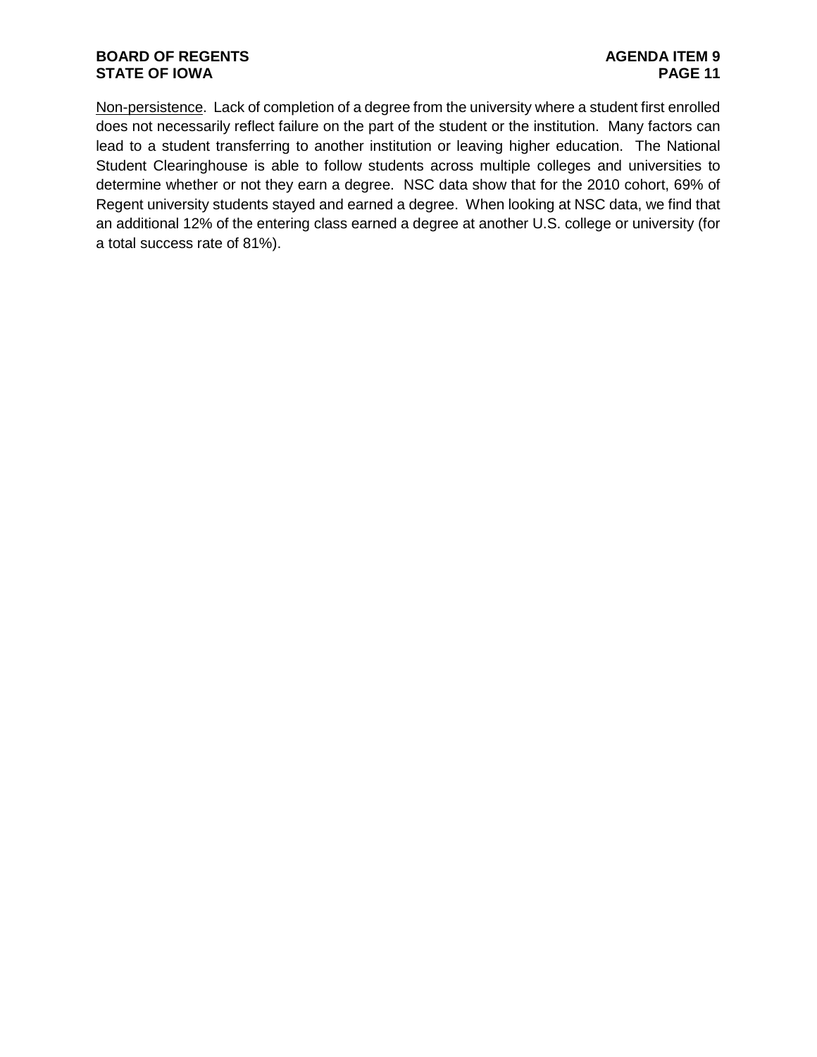# **BOARD OF REGENTS**<br> **BOARD OF REGENTS**<br> **BOARD OF IOWA**<br>
PAGE 11 **STATE OF IOWA**

Non-persistence. Lack of completion of a degree from the university where a student first enrolled does not necessarily reflect failure on the part of the student or the institution. Many factors can lead to a student transferring to another institution or leaving higher education. The National Student Clearinghouse is able to follow students across multiple colleges and universities to determine whether or not they earn a degree. NSC data show that for the 2010 cohort, 69% of Regent university students stayed and earned a degree. When looking at NSC data, we find that an additional 12% of the entering class earned a degree at another U.S. college or university (for a total success rate of 81%).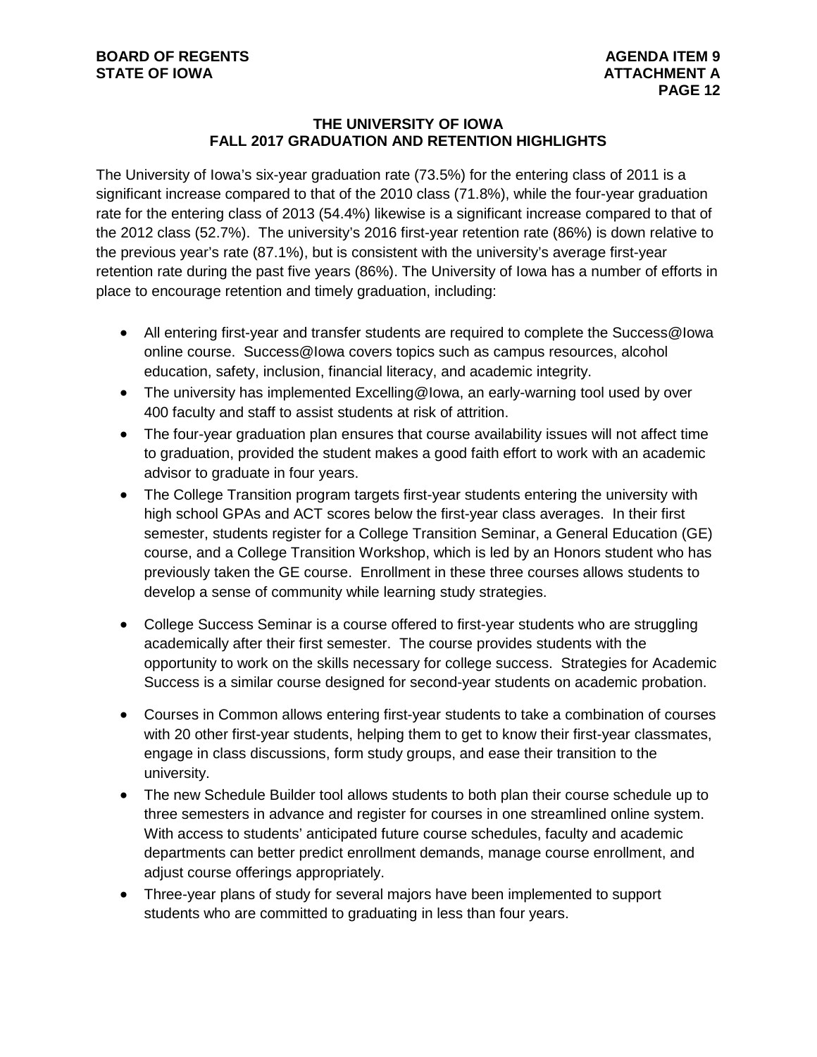# **THE UNIVERSITY OF IOWA FALL 2017 GRADUATION AND RETENTION HIGHLIGHTS**

The University of Iowa's six-year graduation rate (73.5%) for the entering class of 2011 is a significant increase compared to that of the 2010 class (71.8%), while the four-year graduation rate for the entering class of 2013 (54.4%) likewise is a significant increase compared to that of the 2012 class (52.7%). The university's 2016 first-year retention rate (86%) is down relative to the previous year's rate (87.1%), but is consistent with the university's average first-year retention rate during the past five years (86%). The University of Iowa has a number of efforts in place to encourage retention and timely graduation, including:

- All entering first-year and transfer students are required to complete the Success@Iowa online course. Success@Iowa covers topics such as campus resources, alcohol education, safety, inclusion, financial literacy, and academic integrity.
- The university has implemented Excelling@Iowa, an early-warning tool used by over 400 faculty and staff to assist students at risk of attrition.
- The four-year graduation plan ensures that course availability issues will not affect time to graduation, provided the student makes a good faith effort to work with an academic advisor to graduate in four years.
- The College Transition program targets first-year students entering the university with high school GPAs and ACT scores below the first-year class averages. In their first semester, students register for a College Transition Seminar, a General Education (GE) course, and a College Transition Workshop, which is led by an Honors student who has previously taken the GE course. Enrollment in these three courses allows students to develop a sense of community while learning study strategies.
- College Success Seminar is a course offered to first-year students who are struggling academically after their first semester. The course provides students with the opportunity to work on the skills necessary for college success. Strategies for Academic Success is a similar course designed for second-year students on academic probation.
- Courses in Common allows entering first-year students to take a combination of courses with 20 other first-year students, helping them to get to know their first-year classmates, engage in class discussions, form study groups, and ease their transition to the university.
- The new Schedule Builder tool allows students to both plan their course schedule up to three semesters in advance and register for courses in one streamlined online system. With access to students' anticipated future course schedules, faculty and academic departments can better predict enrollment demands, manage course enrollment, and adjust course offerings appropriately.
- Three-year plans of study for several majors have been implemented to support students who are committed to graduating in less than four years.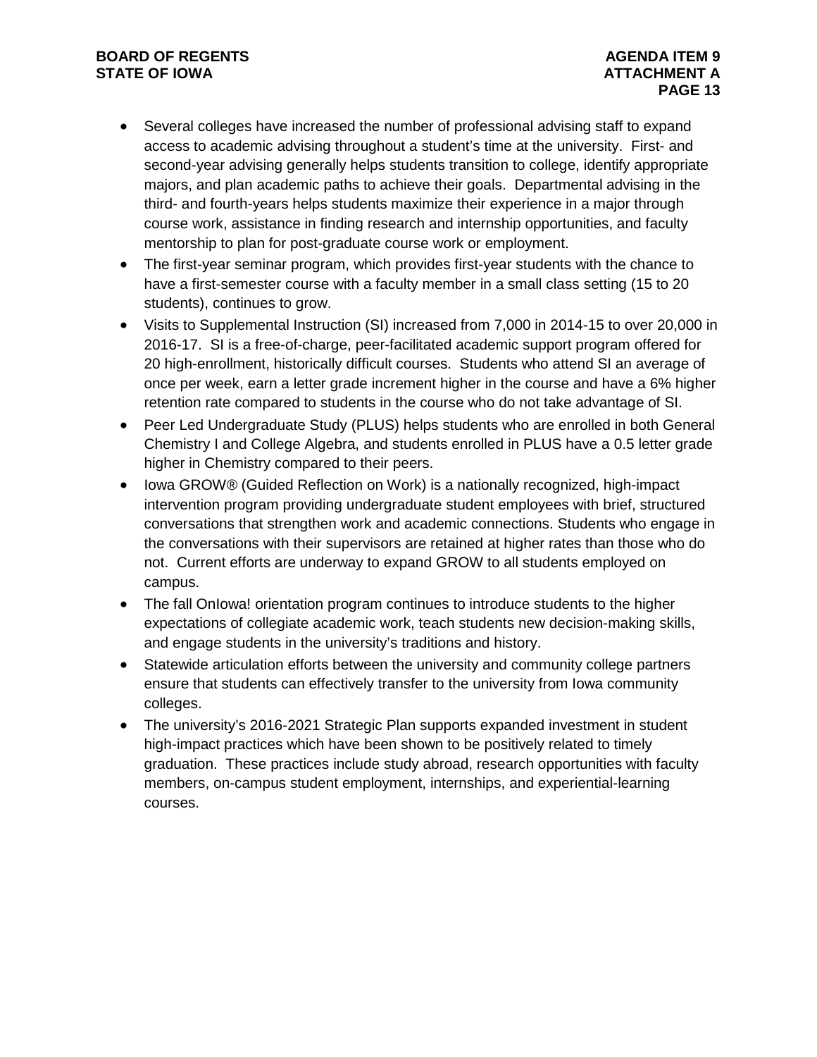# **BOARD OF REGENTS**<br> **BOARD OF REGENTS**<br> **BOARD OF IOWA**<br> **ATTACHMENT A STATE OF IOWA**

- Several colleges have increased the number of professional advising staff to expand access to academic advising throughout a student's time at the university. First- and second-year advising generally helps students transition to college, identify appropriate majors, and plan academic paths to achieve their goals. Departmental advising in the third- and fourth-years helps students maximize their experience in a major through course work, assistance in finding research and internship opportunities, and faculty mentorship to plan for post-graduate course work or employment.
- The first-year seminar program, which provides first-year students with the chance to have a first-semester course with a faculty member in a small class setting (15 to 20 students), continues to grow.
- Visits to Supplemental Instruction (SI) increased from 7,000 in 2014-15 to over 20,000 in 2016-17. SI is a free-of-charge, peer-facilitated academic support program offered for 20 high-enrollment, historically difficult courses. Students who attend SI an average of once per week, earn a letter grade increment higher in the course and have a 6% higher retention rate compared to students in the course who do not take advantage of SI.
- Peer Led Undergraduate Study (PLUS) helps students who are enrolled in both General Chemistry I and College Algebra, and students enrolled in PLUS have a 0.5 letter grade higher in Chemistry compared to their peers.
- Iowa GROW® (Guided Reflection on Work) is a nationally recognized, high-impact intervention program providing undergraduate student employees with brief, structured conversations that strengthen work and academic connections. Students who engage in the conversations with their supervisors are retained at higher rates than those who do not. Current efforts are underway to expand GROW to all students employed on campus.
- The fall Onlowa! orientation program continues to introduce students to the higher expectations of collegiate academic work, teach students new decision-making skills, and engage students in the university's traditions and history.
- Statewide articulation efforts between the university and community college partners ensure that students can effectively transfer to the university from Iowa community colleges.
- The university's 2016-2021 Strategic Plan supports expanded investment in student high-impact practices which have been shown to be positively related to timely graduation. These practices include study abroad, research opportunities with faculty members, on-campus student employment, internships, and experiential-learning courses.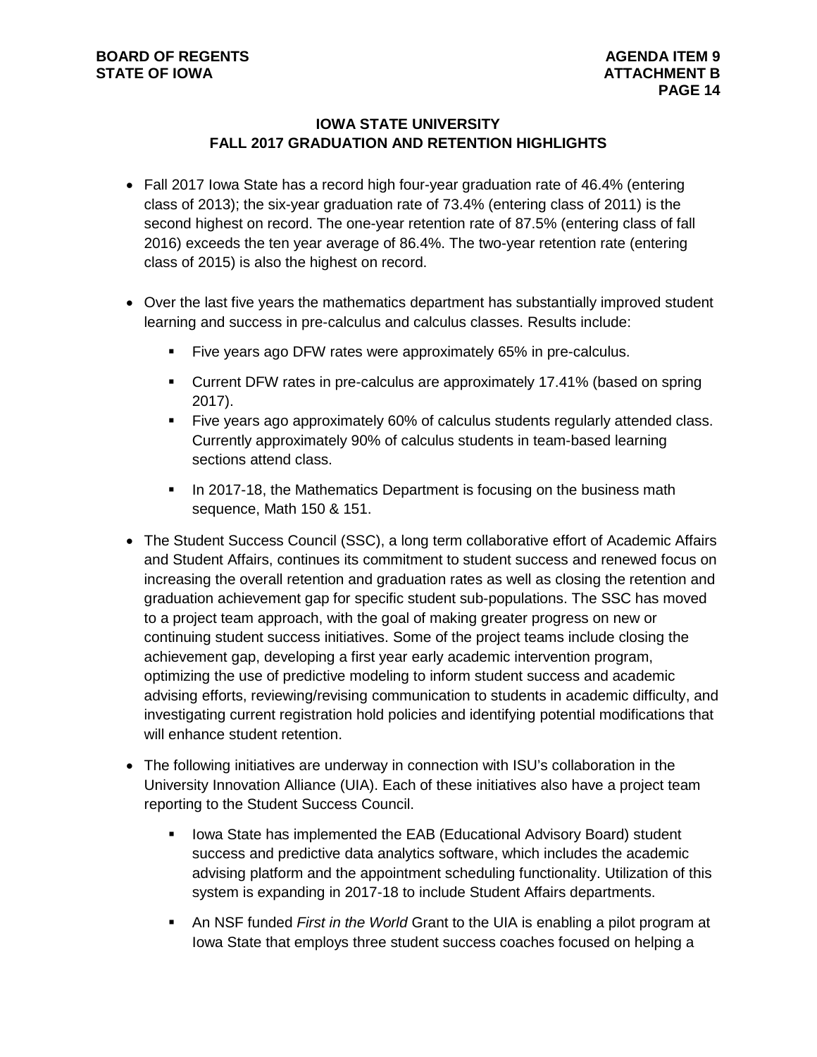# **IOWA STATE UNIVERSITY FALL 2017 GRADUATION AND RETENTION HIGHLIGHTS**

- Fall 2017 Iowa State has a record high four-year graduation rate of 46.4% (entering class of 2013); the six-year graduation rate of 73.4% (entering class of 2011) is the second highest on record. The one-year retention rate of 87.5% (entering class of fall 2016) exceeds the ten year average of 86.4%. The two-year retention rate (entering class of 2015) is also the highest on record.
- Over the last five years the mathematics department has substantially improved student learning and success in pre-calculus and calculus classes. Results include:
	- Five years ago DFW rates were approximately 65% in pre-calculus.
	- Current DFW rates in pre-calculus are approximately 17.41% (based on spring 2017).
	- Five years ago approximately 60% of calculus students regularly attended class. Currently approximately 90% of calculus students in team-based learning sections attend class.
	- In 2017-18, the Mathematics Department is focusing on the business math sequence, Math 150 & 151.
- The Student Success Council (SSC), a long term collaborative effort of Academic Affairs and Student Affairs, continues its commitment to student success and renewed focus on increasing the overall retention and graduation rates as well as closing the retention and graduation achievement gap for specific student sub-populations. The SSC has moved to a project team approach, with the goal of making greater progress on new or continuing student success initiatives. Some of the project teams include closing the achievement gap, developing a first year early academic intervention program, optimizing the use of predictive modeling to inform student success and academic advising efforts, reviewing/revising communication to students in academic difficulty, and investigating current registration hold policies and identifying potential modifications that will enhance student retention.
- The following initiatives are underway in connection with ISU's collaboration in the University Innovation Alliance (UIA). Each of these initiatives also have a project team reporting to the Student Success Council.
	- **Iowa State has implemented the EAB (Educational Advisory Board) student** success and predictive data analytics software, which includes the academic advising platform and the appointment scheduling functionality. Utilization of this system is expanding in 2017-18 to include Student Affairs departments.
	- An NSF funded *First in the World* Grant to the UIA is enabling a pilot program at Iowa State that employs three student success coaches focused on helping a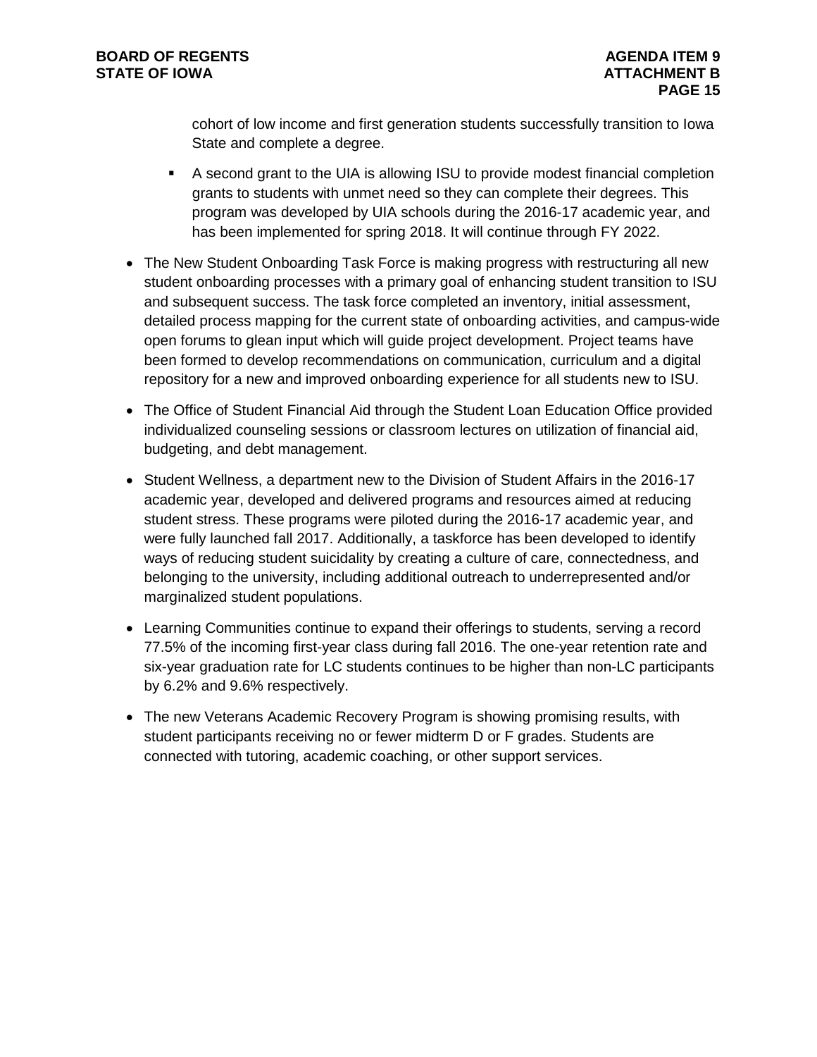cohort of low income and first generation students successfully transition to Iowa State and complete a degree.

- A second grant to the UIA is allowing ISU to provide modest financial completion grants to students with unmet need so they can complete their degrees. This program was developed by UIA schools during the 2016-17 academic year, and has been implemented for spring 2018. It will continue through FY 2022.
- The New Student Onboarding Task Force is making progress with restructuring all new student onboarding processes with a primary goal of enhancing student transition to ISU and subsequent success. The task force completed an inventory, initial assessment, detailed process mapping for the current state of onboarding activities, and campus-wide open forums to glean input which will guide project development. Project teams have been formed to develop recommendations on communication, curriculum and a digital repository for a new and improved onboarding experience for all students new to ISU.
- The Office of Student Financial Aid through the Student Loan Education Office provided individualized counseling sessions or classroom lectures on utilization of financial aid, budgeting, and debt management.
- Student Wellness, a department new to the Division of Student Affairs in the 2016-17 academic year, developed and delivered programs and resources aimed at reducing student stress. These programs were piloted during the 2016-17 academic year, and were fully launched fall 2017. Additionally, a taskforce has been developed to identify ways of reducing student suicidality by creating a culture of care, connectedness, and belonging to the university, including additional outreach to underrepresented and/or marginalized student populations.
- Learning Communities continue to expand their offerings to students, serving a record 77.5% of the incoming first-year class during fall 2016. The one-year retention rate and six-year graduation rate for LC students continues to be higher than non-LC participants by 6.2% and 9.6% respectively.
- The new Veterans Academic Recovery Program is showing promising results, with student participants receiving no or fewer midterm D or F grades. Students are connected with tutoring, academic coaching, or other support services.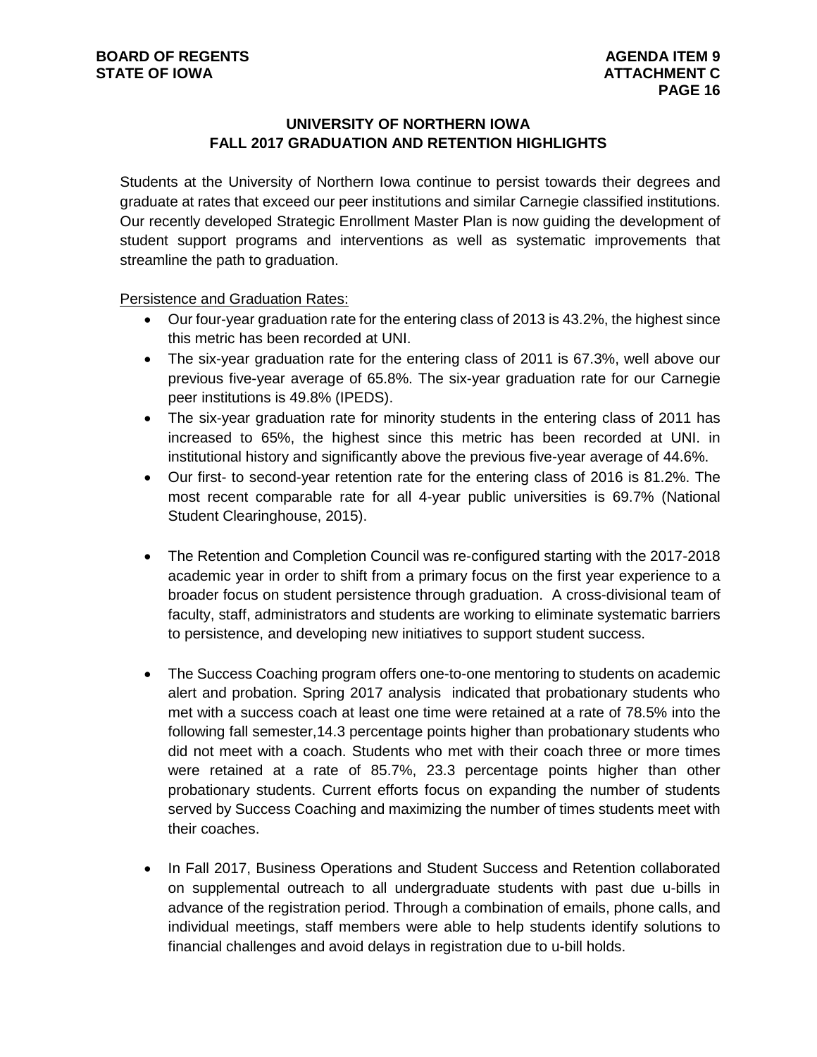# **UNIVERSITY OF NORTHERN IOWA FALL 2017 GRADUATION AND RETENTION HIGHLIGHTS**

Students at the University of Northern Iowa continue to persist towards their degrees and graduate at rates that exceed our peer institutions and similar Carnegie classified institutions. Our recently developed Strategic Enrollment Master Plan is now guiding the development of student support programs and interventions as well as systematic improvements that streamline the path to graduation.

Persistence and Graduation Rates:

- Our four-year graduation rate for the entering class of 2013 is 43.2%, the highest since this metric has been recorded at UNI.
- The six-year graduation rate for the entering class of 2011 is 67.3%, well above our previous five-year average of 65.8%. The six-year graduation rate for our Carnegie peer institutions is 49.8% (IPEDS).
- The six-year graduation rate for minority students in the entering class of 2011 has increased to 65%, the highest since this metric has been recorded at UNI. in institutional history and significantly above the previous five-year average of 44.6%.
- Our first- to second-year retention rate for the entering class of 2016 is 81.2%. The most recent comparable rate for all 4-year public universities is 69.7% (National Student Clearinghouse, 2015).
- The Retention and Completion Council was re-configured starting with the 2017-2018 academic year in order to shift from a primary focus on the first year experience to a broader focus on student persistence through graduation. A cross-divisional team of faculty, staff, administrators and students are working to eliminate systematic barriers to persistence, and developing new initiatives to support student success.
- The Success Coaching program offers one-to-one mentoring to students on academic alert and probation. Spring 2017 analysis indicated that probationary students who met with a success coach at least one time were retained at a rate of 78.5% into the following fall semester,14.3 percentage points higher than probationary students who did not meet with a coach. Students who met with their coach three or more times were retained at a rate of 85.7%, 23.3 percentage points higher than other probationary students. Current efforts focus on expanding the number of students served by Success Coaching and maximizing the number of times students meet with their coaches.
- In Fall 2017, Business Operations and Student Success and Retention collaborated on supplemental outreach to all undergraduate students with past due u-bills in advance of the registration period. Through a combination of emails, phone calls, and individual meetings, staff members were able to help students identify solutions to financial challenges and avoid delays in registration due to u-bill holds.